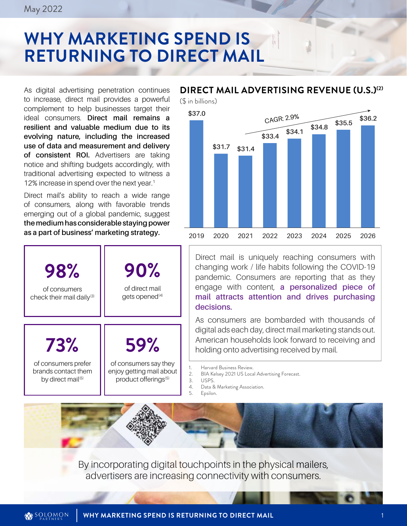# **WHY MARKETING SPEND IS RETURNING TO DIRECT MAIL**

As digital advertising penetration continues to increase, direct mail provides a powerful complement to help businesses target their ideal consumers. **Direct mail remains a resilient and valuable medium due to its evolving nature, including the increased use of data and measurement and delivery of consistent ROI.** Advertisers are taking notice and shifting budgets accordingly, with traditional advertising expected to witness a 12% increase in spend over the next year.<sup>1</sup>

Direct mail's ability to reach a wide range of consumers, along with favorable trends emerging out of a global pandemic, suggest **the medium has considerable staying power as a part of business' marketing strategy.** 



#### **DIRECT MAIL ADVERTISING REVENUE (U.S.)(2)**

(\$ in billions)



Direct mail is uniquely reaching consumers with changing work / life habits following the COVID-19 pandemic. Consumers are reporting that as they engage with content, **a personalized piece of mail attracts attention and drives purchasing decisions.**

As consumers are bombarded with thousands of digital ads each day, direct mail marketing stands out. American households look forward to receiving and holding onto advertising received by mail.

1. Harvard Business Review.<br>2. BIA Kelsey 2021 US Loca

- 2. BIA Kelsey 2021 US Local Advertising Forecast.
- 3. USPS.<br>4 Data 8
	- Data & Marketing Association.